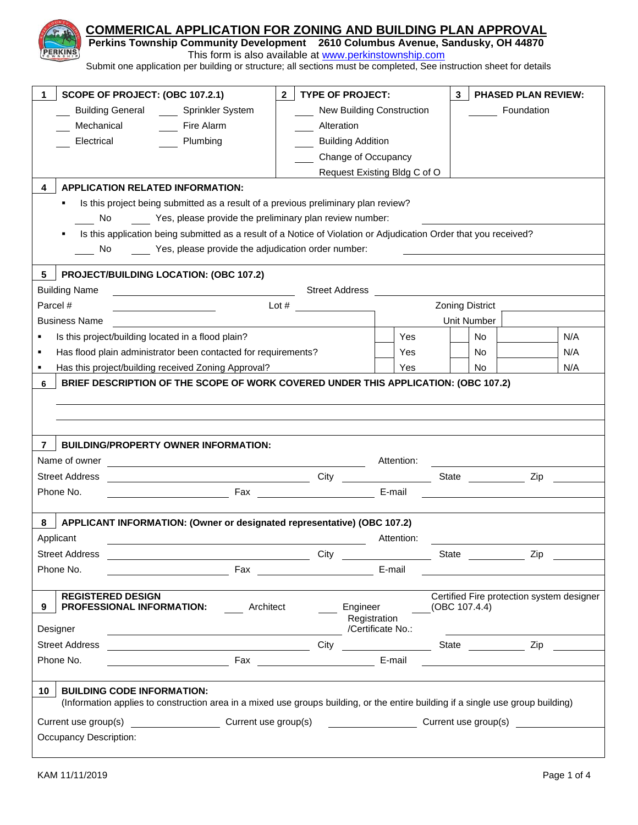| COMMERICAL APPLICATION FOR ZONING AND BUILDING PLAN APPROVAL<br>Perkins Township Community Development 2610 Columbus Avenue, Sandusky, OH 44870<br>Submit one application per building or structure; all sections must be completed, See instruction sheet for details | This form is also available at www.perkinstownship.com                                                                                                                                                                         |                                   |                        |                                           |  |
|------------------------------------------------------------------------------------------------------------------------------------------------------------------------------------------------------------------------------------------------------------------------|--------------------------------------------------------------------------------------------------------------------------------------------------------------------------------------------------------------------------------|-----------------------------------|------------------------|-------------------------------------------|--|
| SCOPE OF PROJECT: (OBC 107.2.1)<br>1                                                                                                                                                                                                                                   | <b>TYPE OF PROJECT:</b><br>2 <sup>7</sup>                                                                                                                                                                                      |                                   | $\mathbf{3}$           | <b>PHASED PLAN REVIEW:</b>                |  |
| <b>Building General Sprinkler System</b>                                                                                                                                                                                                                               | New Building Construction                                                                                                                                                                                                      |                                   | Foundation             |                                           |  |
| Mechanical<br>Fire Alarm                                                                                                                                                                                                                                               | Alteration                                                                                                                                                                                                                     |                                   |                        |                                           |  |
| Electrical<br>Plumbing                                                                                                                                                                                                                                                 | <b>Building Addition</b>                                                                                                                                                                                                       |                                   |                        |                                           |  |
|                                                                                                                                                                                                                                                                        | Change of Occupancy                                                                                                                                                                                                            |                                   |                        |                                           |  |
|                                                                                                                                                                                                                                                                        |                                                                                                                                                                                                                                | Request Existing Bldg C of O      |                        |                                           |  |
| <b>APPLICATION RELATED INFORMATION:</b><br>4                                                                                                                                                                                                                           |                                                                                                                                                                                                                                |                                   |                        |                                           |  |
| Is this project being submitted as a result of a previous preliminary plan review?<br>Yes, please provide the preliminary plan review number:<br>No.                                                                                                                   |                                                                                                                                                                                                                                |                                   |                        |                                           |  |
| Is this application being submitted as a result of a Notice of Violation or Adjudication Order that you received?                                                                                                                                                      |                                                                                                                                                                                                                                |                                   |                        |                                           |  |
| Yes, please provide the adjudication order number:<br>No.                                                                                                                                                                                                              |                                                                                                                                                                                                                                |                                   |                        |                                           |  |
|                                                                                                                                                                                                                                                                        |                                                                                                                                                                                                                                |                                   |                        |                                           |  |
| <b>PROJECT/BUILDING LOCATION: (OBC 107.2)</b><br>5.                                                                                                                                                                                                                    |                                                                                                                                                                                                                                |                                   |                        |                                           |  |
| <b>Building Name</b>                                                                                                                                                                                                                                                   | <b>Street Address</b>                                                                                                                                                                                                          |                                   |                        |                                           |  |
| Parcel #                                                                                                                                                                                                                                                               | Lot $#$                                                                                                                                                                                                                        |                                   | <b>Zoning District</b> |                                           |  |
| <b>Business Name</b>                                                                                                                                                                                                                                                   |                                                                                                                                                                                                                                |                                   | Unit Number            |                                           |  |
| Is this project/building located in a flood plain?                                                                                                                                                                                                                     |                                                                                                                                                                                                                                | Yes                               | No.                    | N/A                                       |  |
| Has flood plain administrator been contacted for requirements?<br>Ξ                                                                                                                                                                                                    |                                                                                                                                                                                                                                | Yes                               | No                     | N/A                                       |  |
| Has this project/building received Zoning Approval?<br>$\blacksquare$<br>BRIEF DESCRIPTION OF THE SCOPE OF WORK COVERED UNDER THIS APPLICATION: (OBC 107.2)                                                                                                            |                                                                                                                                                                                                                                | Yes                               | No                     | N/A                                       |  |
| <b>BUILDING/PROPERTY OWNER INFORMATION:</b><br>7<br>Name of owner                                                                                                                                                                                                      |                                                                                                                                                                                                                                | Attention:                        |                        |                                           |  |
| Street Address                                                                                                                                                                                                                                                         | City                                                                                                                                                                                                                           |                                   | State                  | Zip                                       |  |
| Phone No.<br>Fax                                                                                                                                                                                                                                                       |                                                                                                                                                                                                                                | E-mail                            |                        |                                           |  |
| APPLICANT INFORMATION: (Owner or designated representative) (OBC 107.2)<br>8<br>Applicant<br><u> 1989 - Johann Stoff, amerikansk politiker (d. 1989)</u>                                                                                                               |                                                                                                                                                                                                                                | Attention:                        |                        |                                           |  |
| <b>Street Address</b>                                                                                                                                                                                                                                                  |                                                                                                                                                                                                                                |                                   |                        | Zip                                       |  |
| Phone No.                                                                                                                                                                                                                                                              | Fax and the contract of the contract of the contract of the contract of the contract of the contract of the contract of the contract of the contract of the contract of the contract of the contract of the contract of the co | E-mail                            |                        |                                           |  |
|                                                                                                                                                                                                                                                                        |                                                                                                                                                                                                                                |                                   |                        |                                           |  |
| <b>REGISTERED DESIGN</b><br><b>PROFESSIONAL INFORMATION:</b> Architect<br>9<br>Designer                                                                                                                                                                                | Engineer                                                                                                                                                                                                                       | Registration<br>/Certificate No.: | (OBC 107.4.4)          | Certified Fire protection system designer |  |
| <u> 1989 - Johann Stoff, Amerikaansk politiker († 1908)</u><br><b>Street Address</b>                                                                                                                                                                                   |                                                                                                                                                                                                                                |                                   |                        |                                           |  |
| Phone No.                                                                                                                                                                                                                                                              |                                                                                                                                                                                                                                | E-mail                            |                        |                                           |  |
| <b>BUILDING CODE INFORMATION:</b><br>10 <sup>1</sup><br>(Information applies to construction area in a mixed use groups building, or the entire building if a single use group building)                                                                               |                                                                                                                                                                                                                                |                                   |                        |                                           |  |
| Current use group(s) _____________________Current use group(s) ___________________Current use group(s)                                                                                                                                                                 |                                                                                                                                                                                                                                |                                   |                        |                                           |  |
| Occupancy Description:                                                                                                                                                                                                                                                 |                                                                                                                                                                                                                                |                                   |                        |                                           |  |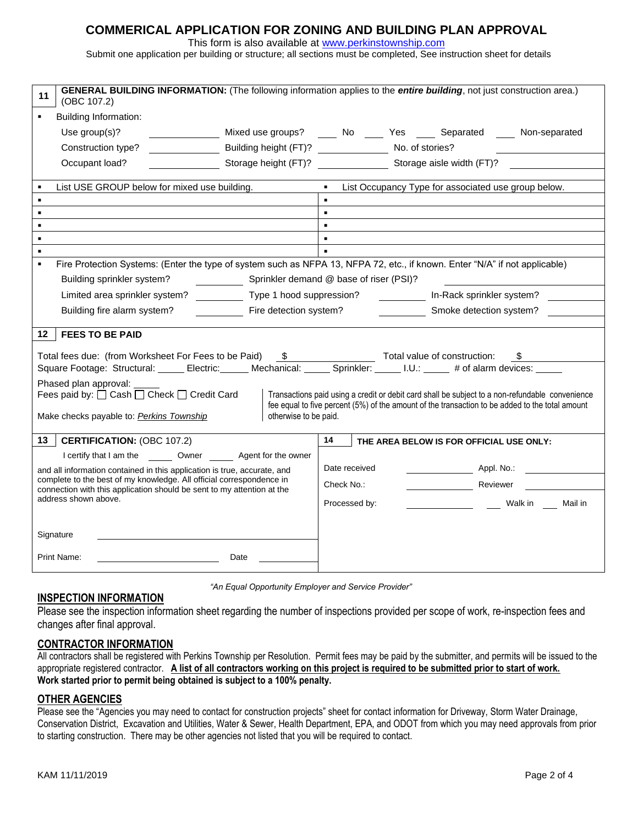### **COMMERICAL APPLICATION FOR ZONING AND BUILDING PLAN APPROVAL**

This form is also available at [www.perkinstownship.com](http://www.perkinstownship.com/)

Submit one application per building or structure; all sections must be completed, See instruction sheet for details

| GENERAL BUILDING INFORMATION: (The following information applies to the entire building, not just construction area.)<br>11<br>(OBC 107.2)                                                                                                         |                                                                          |                                                     |  |                                          |                    |  |  |  |
|----------------------------------------------------------------------------------------------------------------------------------------------------------------------------------------------------------------------------------------------------|--------------------------------------------------------------------------|-----------------------------------------------------|--|------------------------------------------|--------------------|--|--|--|
| <b>Building Information:</b><br>٠                                                                                                                                                                                                                  |                                                                          |                                                     |  |                                          |                    |  |  |  |
| Use group(s)?                                                                                                                                                                                                                                      | Mixed use groups? _____ No _____ Yes _____ Separated _____ Non-separated |                                                     |  |                                          |                    |  |  |  |
| Construction type?                                                                                                                                                                                                                                 | Building height (FT)? No. of stories?                                    |                                                     |  |                                          |                    |  |  |  |
| Occupant load?                                                                                                                                                                                                                                     | Storage height (FT)?                                                     | Storage aisle width (FT)?                           |  |                                          |                    |  |  |  |
| List USE GROUP below for mixed use building.                                                                                                                                                                                                       |                                                                          | List Occupancy Type for associated use group below. |  |                                          |                    |  |  |  |
|                                                                                                                                                                                                                                                    |                                                                          | $\blacksquare$                                      |  |                                          |                    |  |  |  |
|                                                                                                                                                                                                                                                    |                                                                          | $\blacksquare$                                      |  |                                          |                    |  |  |  |
|                                                                                                                                                                                                                                                    |                                                                          |                                                     |  |                                          |                    |  |  |  |
|                                                                                                                                                                                                                                                    |                                                                          |                                                     |  |                                          |                    |  |  |  |
| Fire Protection Systems: (Enter the type of system such as NFPA 13, NFPA 72, etc., if known. Enter "N/A" if not applicable)                                                                                                                        |                                                                          |                                                     |  |                                          |                    |  |  |  |
| Building sprinkler system?                                                                                                                                                                                                                         | Sprinkler demand @ base of riser (PSI)?                                  |                                                     |  |                                          |                    |  |  |  |
| Limited area sprinkler system? ___________ Type 1 hood suppression?                                                                                                                                                                                |                                                                          |                                                     |  | In-Rack sprinkler system?                |                    |  |  |  |
|                                                                                                                                                                                                                                                    |                                                                          |                                                     |  |                                          |                    |  |  |  |
| Building fire alarm system?                                                                                                                                                                                                                        | Fire detection system?                                                   |                                                     |  | Smoke detection system?                  |                    |  |  |  |
| 12   FEES TO BE PAID                                                                                                                                                                                                                               |                                                                          |                                                     |  |                                          |                    |  |  |  |
|                                                                                                                                                                                                                                                    |                                                                          |                                                     |  |                                          |                    |  |  |  |
| Total fees due: (from Worksheet For Fees to be Paid) \$ Total value of construction:<br>$\mathbb S$ and $\mathbb S$<br>Square Footage: Structural: _____ Electric: _____ Mechanical: _____ Sprinkler: _____ I.U.: _____ # of alarm devices: ___    |                                                                          |                                                     |  |                                          |                    |  |  |  |
|                                                                                                                                                                                                                                                    |                                                                          |                                                     |  |                                          |                    |  |  |  |
| Phased plan approval:<br>Fees paid by: $\Box$ Cash $\Box$ Check $\Box$ Credit Card<br>Transactions paid using a credit or debit card shall be subject to a non-refundable convenience                                                              |                                                                          |                                                     |  |                                          |                    |  |  |  |
| fee equal to five percent (5%) of the amount of the transaction to be added to the total amount                                                                                                                                                    |                                                                          |                                                     |  |                                          |                    |  |  |  |
| otherwise to be paid.<br>Make checks payable to: Perkins Township                                                                                                                                                                                  |                                                                          |                                                     |  |                                          |                    |  |  |  |
| <b>CERTIFICATION: (OBC 107.2)</b><br>13                                                                                                                                                                                                            |                                                                          | 14                                                  |  | THE AREA BELOW IS FOR OFFICIAL USE ONLY: |                    |  |  |  |
| I certify that I am the _________ Owner ________ Agent for the owner                                                                                                                                                                               |                                                                          |                                                     |  |                                          |                    |  |  |  |
| and all information contained in this application is true, accurate, and<br>complete to the best of my knowledge. All official correspondence in<br>connection with this application should be sent to my attention at the<br>address shown above. |                                                                          | Date received                                       |  |                                          | Appl. No.:         |  |  |  |
|                                                                                                                                                                                                                                                    |                                                                          | Check No.:                                          |  | Reviewer                                 |                    |  |  |  |
|                                                                                                                                                                                                                                                    |                                                                          | Processed by:                                       |  |                                          | Walk in<br>Mail in |  |  |  |
|                                                                                                                                                                                                                                                    |                                                                          |                                                     |  |                                          |                    |  |  |  |
| Signature                                                                                                                                                                                                                                          |                                                                          |                                                     |  |                                          |                    |  |  |  |
| Print Name:                                                                                                                                                                                                                                        | Date                                                                     |                                                     |  |                                          |                    |  |  |  |

 *"An Equal Opportunity Employer and Service Provider"*

### **INSPECTION INFORMATION**

Please see the inspection information sheet regarding the number of inspections provided per scope of work, re-inspection fees and changes after final approval.

### **CONTRACTOR INFORMATION**

All contractors shall be registered with Perkins Township per Resolution. Permit fees may be paid by the submitter, and permits will be issued to the appropriate registered contractor. **A list of all contractors working on this project is required to be submitted prior to start of work. Work started prior to permit being obtained is subject to a 100% penalty.**

#### **OTHER AGENCIES**

Please see the "Agencies you may need to contact for construction projects" sheet for contact information for Driveway, Storm Water Drainage, Conservation District, Excavation and Utilities, Water & Sewer, Health Department, EPA, and ODOT from which you may need approvals from prior to starting construction. There may be other agencies not listed that you will be required to contact.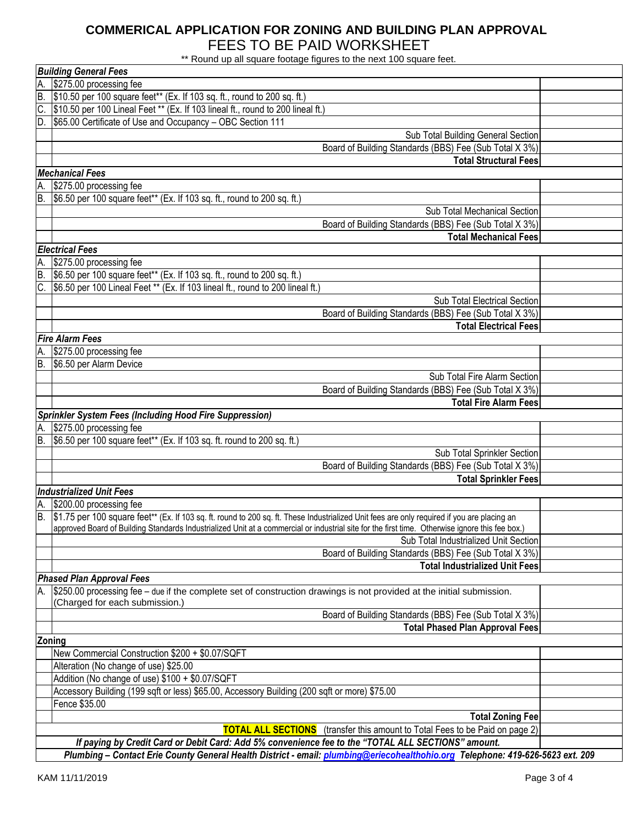# **COMMERICAL APPLICATION FOR ZONING AND BUILDING PLAN APPROVAL** FEES TO BE PAID WORKSHEET

\*\* Round up all square footage figures to the next 100 square feet.

|                                       | <b>Building General Fees</b>                                                                                                                            |  |  |  |  |  |  |
|---------------------------------------|---------------------------------------------------------------------------------------------------------------------------------------------------------|--|--|--|--|--|--|
| А.                                    | \$275.00 processing fee                                                                                                                                 |  |  |  |  |  |  |
| B.                                    | \$10.50 per 100 square feet** (Ex. If 103 sq. ft., round to 200 sq. ft.)                                                                                |  |  |  |  |  |  |
|                                       | \$10.50 per 100 Lineal Feet ** (Ex. If 103 lineal ft., round to 200 lineal ft.)                                                                         |  |  |  |  |  |  |
| ID.                                   | \$65.00 Certificate of Use and Occupancy - OBC Section 111                                                                                              |  |  |  |  |  |  |
|                                       | Sub Total Building General Section                                                                                                                      |  |  |  |  |  |  |
|                                       | Board of Building Standards (BBS) Fee (Sub Total X 3%)                                                                                                  |  |  |  |  |  |  |
|                                       | <b>Total Structural Fees</b>                                                                                                                            |  |  |  |  |  |  |
|                                       | <b>Mechanical Fees</b>                                                                                                                                  |  |  |  |  |  |  |
| А.                                    | \$275.00 processing fee                                                                                                                                 |  |  |  |  |  |  |
| B.                                    | \$6.50 per 100 square feet** (Ex. If 103 sq. ft., round to 200 sq. ft.)                                                                                 |  |  |  |  |  |  |
|                                       | Sub Total Mechanical Section                                                                                                                            |  |  |  |  |  |  |
|                                       | Board of Building Standards (BBS) Fee (Sub Total X 3%)                                                                                                  |  |  |  |  |  |  |
|                                       | <b>Total Mechanical Fees</b>                                                                                                                            |  |  |  |  |  |  |
|                                       | <b>Electrical Fees</b>                                                                                                                                  |  |  |  |  |  |  |
| А.                                    | \$275.00 processing fee                                                                                                                                 |  |  |  |  |  |  |
| B.                                    | \$6.50 per 100 square feet** (Ex. If 103 sq. ft., round to 200 sq. ft.)                                                                                 |  |  |  |  |  |  |
|                                       | C. \$6.50 per 100 Lineal Feet ** (Ex. If 103 lineal ft., round to 200 lineal ft.)                                                                       |  |  |  |  |  |  |
|                                       | Sub Total Electrical Section                                                                                                                            |  |  |  |  |  |  |
|                                       | Board of Building Standards (BBS) Fee (Sub Total X 3%)                                                                                                  |  |  |  |  |  |  |
|                                       | <b>Total Electrical Fees</b>                                                                                                                            |  |  |  |  |  |  |
|                                       | <b>Fire Alarm Fees</b>                                                                                                                                  |  |  |  |  |  |  |
| Α.                                    | \$275.00 processing fee                                                                                                                                 |  |  |  |  |  |  |
|                                       | B. \$6.50 per Alarm Device                                                                                                                              |  |  |  |  |  |  |
|                                       | Sub Total Fire Alarm Section                                                                                                                            |  |  |  |  |  |  |
|                                       | Board of Building Standards (BBS) Fee (Sub Total X 3%)                                                                                                  |  |  |  |  |  |  |
|                                       | <b>Total Fire Alarm Fees</b>                                                                                                                            |  |  |  |  |  |  |
|                                       | <b>Sprinkler System Fees (Including Hood Fire Suppression)</b>                                                                                          |  |  |  |  |  |  |
| А.                                    | \$275.00 processing fee                                                                                                                                 |  |  |  |  |  |  |
|                                       | B. \$6.50 per 100 square feet** (Ex. If 103 sq. ft. round to 200 sq. ft.)                                                                               |  |  |  |  |  |  |
|                                       | Sub Total Sprinkler Section                                                                                                                             |  |  |  |  |  |  |
|                                       | Board of Building Standards (BBS) Fee (Sub Total X 3%)                                                                                                  |  |  |  |  |  |  |
|                                       | <b>Total Sprinkler Fees</b>                                                                                                                             |  |  |  |  |  |  |
|                                       | <b>Industrialized Unit Fees</b>                                                                                                                         |  |  |  |  |  |  |
| А.                                    | \$200.00 processing fee                                                                                                                                 |  |  |  |  |  |  |
|                                       | B. \$1.75 per 100 square feet** (Ex. If 103 sq. ft. round to 200 sq. ft. These Industrialized Unit fees are only required if you are placing an         |  |  |  |  |  |  |
|                                       | approved Board of Building Standards Industrialized Unit at a commercial or industrial site for the first time. Otherwise ignore this fee box.)         |  |  |  |  |  |  |
| Sub Total Industrialized Unit Section |                                                                                                                                                         |  |  |  |  |  |  |
|                                       | Board of Building Standards (BBS) Fee (Sub Total X 3%)                                                                                                  |  |  |  |  |  |  |
|                                       | <b>Total Industrialized Unit Fees</b>                                                                                                                   |  |  |  |  |  |  |
|                                       | <b>Phased Plan Approval Fees</b>                                                                                                                        |  |  |  |  |  |  |
|                                       | \$250.00 processing fee – due if the complete set of construction drawings is not provided at the initial submission.<br>(Charged for each submission.) |  |  |  |  |  |  |
|                                       | Board of Building Standards (BBS) Fee (Sub Total X 3%)                                                                                                  |  |  |  |  |  |  |
|                                       | <b>Total Phased Plan Approval Fees</b>                                                                                                                  |  |  |  |  |  |  |
|                                       | Zoning                                                                                                                                                  |  |  |  |  |  |  |
|                                       | New Commercial Construction \$200 + \$0.07/SQFT                                                                                                         |  |  |  |  |  |  |
|                                       | Alteration (No change of use) \$25.00                                                                                                                   |  |  |  |  |  |  |
|                                       | Addition (No change of use) \$100 + \$0.07/SQFT                                                                                                         |  |  |  |  |  |  |
|                                       | Accessory Building (199 sqft or less) \$65.00, Accessory Building (200 sqft or more) \$75.00                                                            |  |  |  |  |  |  |
|                                       | Fence \$35.00                                                                                                                                           |  |  |  |  |  |  |
|                                       | <b>Total Zoning Fee</b>                                                                                                                                 |  |  |  |  |  |  |
|                                       | <b>TOTAL ALL SECTIONS</b> (transfer this amount to Total Fees to be Paid on page 2)                                                                     |  |  |  |  |  |  |
|                                       | If paying by Credit Card or Debit Card: Add 5% convenience fee to the "TOTAL ALL SECTIONS" amount.                                                      |  |  |  |  |  |  |
|                                       | Plumbing - Contact Erie County General Health District - email: plumbing@eriecohealthohio.org Telephone: 419-626-5623 ext. 209                          |  |  |  |  |  |  |
|                                       |                                                                                                                                                         |  |  |  |  |  |  |